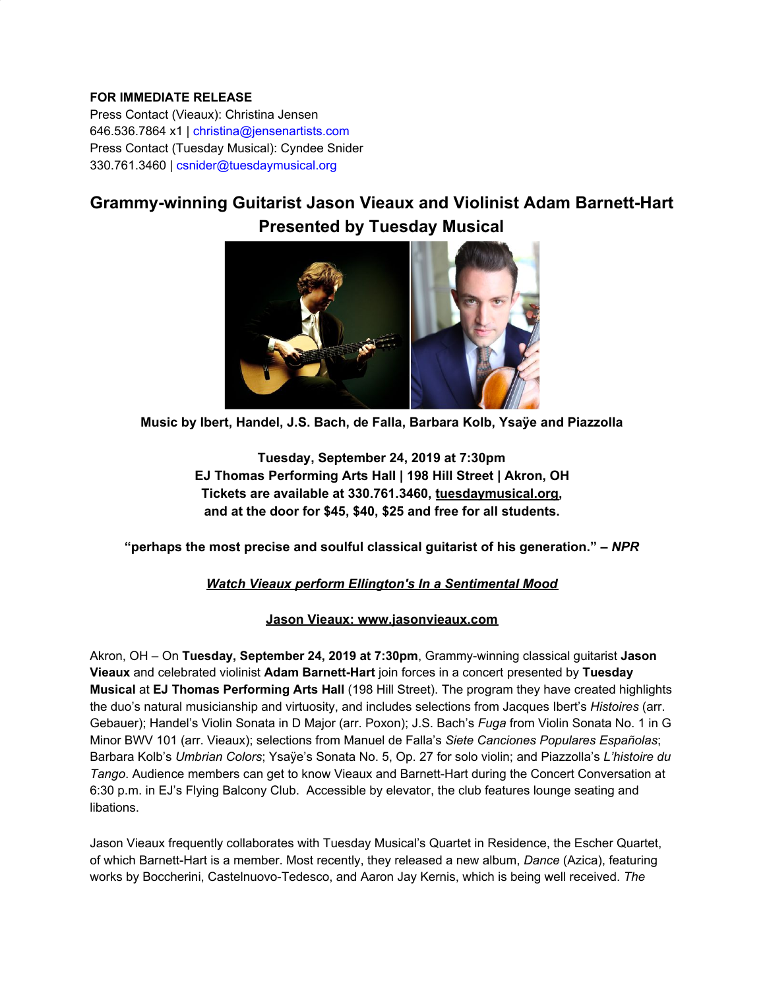## **FOR IMMEDIATE RELEASE**

Press Contact (Vieaux): Christina Jensen 646.536.7864 x1 | christina@jensenartists.com Press Contact (Tuesday Musical): Cyndee Snider 330.761.3460 | csnider@tuesdaymusical.org

## **Grammy-winning Guitarist Jason Vieaux and Violinist Adam Barnett-Hart Presented by Tuesday Musical**



**Music by Ibert, Handel, J.S. Bach, de Falla, Barbara Kolb, Ysaÿe and Piazzolla**

**Tuesday, September 24, 2019 at 7:30pm EJ Thomas Performing Arts Hall | 198 Hill Street | Akron, OH Tickets are available at 330.761.3460, [tuesdaymusical.org](https://u7061146.ct.sendgrid.net/wf/click?upn=5YeTuuV671TEZe-2FkcZUxm0JoC3yDjduuWgCVXhaENbd-2B5BY7-2Bc25krvGFRQWeTiu_DruDjhchMBr5xQkz3h1qcOnjZc-2BCsAVhraQ7DxYhbA2-2BHLQf-2BHKWaWi2FTM7QHo-2Fd7eCMDRMAhfd2mcWSs-2FpzNW9MmuPwV7rH-2FbDd7DdSSagCuN5QlztpJJJjARv58gUyyjqLoQ8z7k5-2F431vOpf2JkJLxnABXQCoZsUb-2Bq4zXBsMNi5Z8NQpofba6x22H7uGI8dQPnVj0uN6w1Okg60a4HJrMnuCCckx2KJp0vPgATUuZLWJ-2F1ozJPFJMk2bDdTPjIFt7fdM4GBO7wPhgOXATM6TN-2FSsVZHQGnFd8wRSA0vnDRRvJ9ceKdkZtGpPZnesRQ8MdMCzo7-2BSsHclcw5-2BFIwW-2FJYhVIPZiYKm8-2FKYY0-3D), and at the door for \$45, \$40, \$25 and free for all students.**

**"perhaps the most precise and soulful classical guitarist of his generation." –** *NPR*

## *[Watch Vieaux perform Ellington's In a Sentimental Mood](https://u7061146.ct.sendgrid.net/wf/click?upn=84Em28S1K9SvtzcUtu04Ej6IZNfQQQhHW9os6GkyPSFCRlqBO0R292iRTu9TE2bpweRG05nTek1sDwc1oyVhLw-3D-3D_DruDjhchMBr5xQkz3h1qcOnjZc-2BCsAVhraQ7DxYhbA2-2BHLQf-2BHKWaWi2FTM7QHo-2Fd7eCMDRMAhfd2mcWSs-2FpzNW9MmuPwV7rH-2FbDd7DdSSagCuN5QlztpJJJjARv58gUyyjqLoQ8z7k5-2F431vOpf2JkJLxnABXQCoZsUb-2Bq4zXBsMNi5Z8NQpofba6x22H7uGI8dQPnVj0uN6w1Okg60a8V3gQptIjKj0mUBSs2iZVtcUN9x-2F5TJ5pClNyek4K7DoTPQH5Y8K-2FtmCkoM3pYzKqyg02tdaUa2TFheNkY-2FgoGoVLrQQjSOupDrmBFCbj3pCMkwTKkHuyW0KHp-2BskwF8TsZq59c-2FXHCNNMU-2BLQGhsQ-3D)*

## **Jason Vieaux: [www.jasonvieaux.com](https://u7061146.ct.sendgrid.net/wf/click?upn=84Em28S1K9SvtzcUtu04EtUBksjQGDLI-2BFjAG1j6R82w1XhwW2-2BlmdMa-2Fs2asdj9_DruDjhchMBr5xQkz3h1qcOnjZc-2BCsAVhraQ7DxYhbA2-2BHLQf-2BHKWaWi2FTM7QHo-2Fd7eCMDRMAhfd2mcWSs-2FpzNW9MmuPwV7rH-2FbDd7DdSSagCuN5QlztpJJJjARv58gUyyjqLoQ8z7k5-2F431vOpf2JkJLxnABXQCoZsUb-2Bq4zXBsMNi5Z8NQpofba6x22H7uGI8dQPnVj0uN6w1Okg60a38lbuwlTHGZcPssY0kYUtMJ4-2BqE-2FIB-2Ft0xIaZoDD8NOiBFpEjgbS73van3g1HsRRVKpvpAoAWZYCs28rZLu0pzX3ZKlPGrfFRpSgfngAlNGzJvpCaxxGrd0aU9-2BbISKTUpXap4EJZh0pFzBW9aWnoE-3D)**

Akron, OH – On **Tuesday, September 24, 2019 at 7:30pm**, Grammy-winning classical guitarist **Jason Vieaux** and celebrated violinist **Adam Barnett-Hart** join forces in a concert presented by **Tuesday Musical** at **EJ Thomas Performing Arts Hall** (198 Hill Street). The program they have created highlights the duo's natural musicianship and virtuosity, and includes selections from Jacques Ibert's *Histoires* (arr. Gebauer); Handel's Violin Sonata in D Major (arr. Poxon); J.S. Bach's *Fuga* from Violin Sonata No. 1 in G Minor BWV 101 (arr. Vieaux); selections from Manuel de Falla's *Siete Canciones Populares Españolas*; Barbara Kolb's *Umbrian Colors*; Ysaÿe's Sonata No. 5, Op. 27 for solo violin; and Piazzolla's *L'histoire du Tango*. Audience members can get to know Vieaux and Barnett-Hart during the Concert Conversation at 6:30 p.m. in EJ's Flying Balcony Club. Accessible by elevator, the club features lounge seating and libations.

Jason Vieaux frequently collaborates with Tuesday Musical's Quartet in Residence, the Escher Quartet, of which Barnett-Hart is a member. Most recently, they released a new album, *Dance* (Azica), featuring works by Boccherini, Castelnuovo-Tedesco, and Aaron Jay Kernis, which is being well received. *The*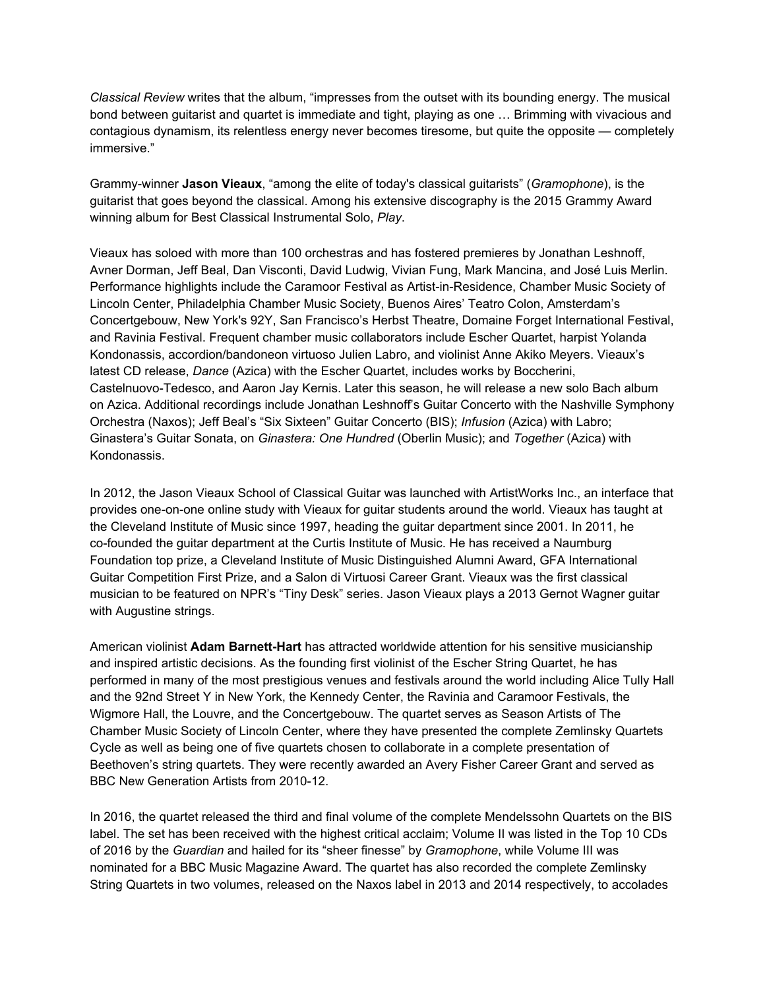*Classical Review* writes that the album, "impresses from the outset with its bounding energy. The musical bond between guitarist and quartet is immediate and tight, playing as one … Brimming with vivacious and contagious dynamism, its relentless energy never becomes tiresome, but quite the opposite — completely immersive."

Grammy-winner **Jason Vieaux**, "among the elite of today's classical guitarists" (*Gramophone*), is the guitarist that goes beyond the classical. Among his extensive discography is the 2015 Grammy Award winning album for Best Classical Instrumental Solo, *Play*.

Vieaux has soloed with more than 100 orchestras and has fostered premieres by Jonathan Leshnoff, Avner Dorman, Jeff Beal, Dan Visconti, David Ludwig, Vivian Fung, Mark Mancina, and José Luis Merlin. Performance highlights include the Caramoor Festival as Artist-in-Residence, Chamber Music Society of Lincoln Center, Philadelphia Chamber Music Society, Buenos Aires' Teatro Colon, Amsterdam's Concertgebouw, New York's 92Y, San Francisco's Herbst Theatre, Domaine Forget International Festival, and Ravinia Festival. Frequent chamber music collaborators include Escher Quartet, harpist Yolanda Kondonassis, accordion/bandoneon virtuoso Julien Labro, and violinist Anne Akiko Meyers. Vieaux's latest CD release, *Dance* (Azica) with the Escher Quartet, includes works by Boccherini, Castelnuovo-Tedesco, and Aaron Jay Kernis. Later this season, he will release a new solo Bach album on Azica. Additional recordings include Jonathan Leshnoff's Guitar Concerto with the Nashville Symphony Orchestra (Naxos); Jeff Beal's "Six Sixteen" Guitar Concerto (BIS); *Infusion* (Azica) with Labro; Ginastera's Guitar Sonata, on *Ginastera: One Hundred* (Oberlin Music); and *Together* (Azica) with Kondonassis.

In 2012, the Jason Vieaux School of Classical Guitar was launched with ArtistWorks Inc., an interface that provides one-on-one online study with Vieaux for guitar students around the world. Vieaux has taught at the Cleveland Institute of Music since 1997, heading the guitar department since 2001. In 2011, he co-founded the guitar department at the Curtis Institute of Music. He has received a Naumburg Foundation top prize, a Cleveland Institute of Music Distinguished Alumni Award, GFA International Guitar Competition First Prize, and a Salon di Virtuosi Career Grant. Vieaux was the first classical musician to be featured on NPR's "Tiny Desk" series. Jason Vieaux plays a 2013 Gernot Wagner guitar with Augustine strings.

American violinist **Adam Barnett-Hart** has attracted worldwide attention for his sensitive musicianship and inspired artistic decisions. As the founding first violinist of the Escher String Quartet, he has performed in many of the most prestigious venues and festivals around the world including Alice Tully Hall and the 92nd Street Y in New York, the Kennedy Center, the Ravinia and Caramoor Festivals, the Wigmore Hall, the Louvre, and the Concertgebouw. The quartet serves as Season Artists of The Chamber Music Society of Lincoln Center, where they have presented the complete Zemlinsky Quartets Cycle as well as being one of five quartets chosen to collaborate in a complete presentation of Beethoven's string quartets. They were recently awarded an Avery Fisher Career Grant and served as BBC New Generation Artists from 2010-12.

In 2016, the quartet released the third and final volume of the complete Mendelssohn Quartets on the BIS label. The set has been received with the highest critical acclaim; Volume II was listed in the Top 10 CDs of 2016 by the *Guardian* and hailed for its "sheer finesse" by *Gramophone*, while Volume III was nominated for a BBC Music Magazine Award. The quartet has also recorded the complete Zemlinsky String Quartets in two volumes, released on the Naxos label in 2013 and 2014 respectively, to accolades